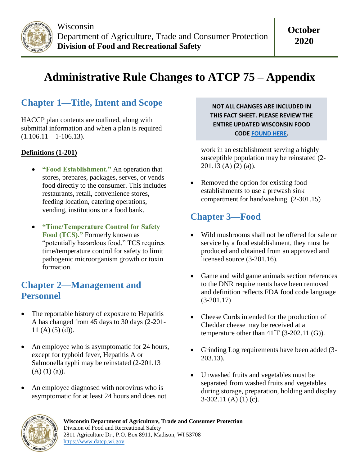

# **Administrative Rule Changes to ATCP 75 – Appendix**

# **Chapter 1—Title, Intent and Scope**

HACCP plan contents are outlined, along with submittal information and when a plan is required  $(1.106.11 - 1.106.13).$ 

#### **Definitions (1-201)**

- **"Food Establishment."** An operation that stores, prepares, packages, serves, or vends food directly to the consumer. This includes restaurants, retail, convenience stores, feeding location, catering operations, vending, institutions or a food bank.
- **"Time/Temperature Control for Safety Food (TCS)."** Formerly known as "potentially hazardous food," TCS requires time/temperature control for safety to limit pathogenic microorganism growth or toxin formation.

#### **Chapter 2—Management and Personnel**

- The reportable history of exposure to Hepatitis A has changed from 45 days to 30 days (2-201- 11 $(A)$  $(5)$  $(d)$ ).
- An employee who is asymptomatic for 24 hours, except for typhoid fever, Hepatitis A or Salmonella typhi may be reinstated (2-201.13  $(A)$   $(1)$   $(a)$ ).
- An employee diagnosed with norovirus who is asymptomatic for at least 24 hours and does not

**NOT ALL CHANGES ARE INCLUDED IN THIS FACT SHEET. PLEASE REVIEW THE ENTIRE UPDATED WISCONSIN FOOD COD[E FOUND HERE.](https://docs.legis.wisconsin.gov/code/admin_code/atcp/055/75_)**

work in an establishment serving a highly susceptible population may be reinstated (2- 201.13 (A) (2) (a)).

• Removed the option for existing food establishments to use a prewash sink compartment for handwashing (2-301.15)

#### **Chapter 3—Food**

- Wild mushrooms shall not be offered for sale or service by a food establishment, they must be produced and obtained from an approved and licensed source (3-201.16).
- Game and wild game animals section references to the DNR requirements have been removed and definition reflects FDA food code language (3-201.17)
- Cheese Curds intended for the production of Cheddar cheese may be received at a temperature other than  $41^{\circ}F(3-202.11(G))$ .
- Grinding Log requirements have been added (3- 203.13).
- Unwashed fruits and vegetables must be separated from washed fruits and vegetables during storage, preparation, holding and display  $3-302.11$  (A) (1) (c).